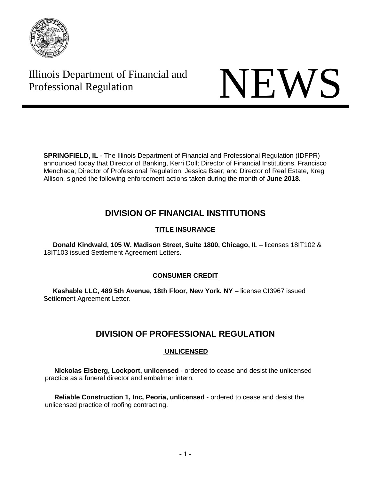

# Illinois Department of Financial and Illinois Department of Financial and<br>Professional Regulation



**SPRINGFIELD, IL** - The Illinois Department of Financial and Professional Regulation (IDFPR) announced today that Director of Banking, Kerri Doll; Director of Financial Institutions, Francisco Menchaca; Director of Professional Regulation, Jessica Baer; and Director of Real Estate, Kreg Allison, signed the following enforcement actions taken during the month of **June 2018.** 

# **DIVISION OF FINANCIAL INSTITUTIONS**

## **TITLE INSURANCE**

 **Donald Kindwald, 105 W. Madison Street, Suite 1800, Chicago, I**L – licenses 18IT102 & 18IT103 issued Settlement Agreement Letters.

### **CONSUMER CREDIT**

 **Kashable LLC, 489 5th Avenue, 18th Floor, New York, NY** – license CI3967 issued Settlement Agreement Letter.

# **DIVISION OF PROFESSIONAL REGULATION**

### **UNLICENSED**

 **Nickolas Elsberg, Lockport, unlicensed** - ordered to cease and desist the unlicensed practice as a funeral director and embalmer intern.

 **Reliable Construction 1, Inc, Peoria, unlicensed** - ordered to cease and desist the unlicensed practice of roofing contracting.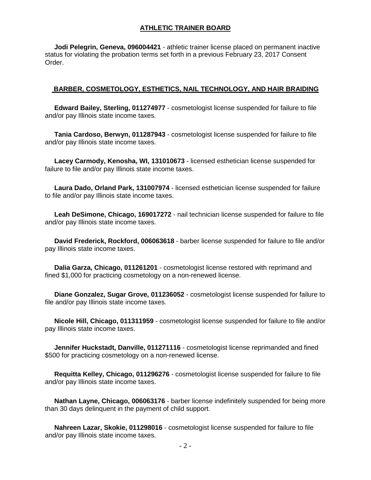#### **ATHLETIC TRAINER BOARD**

 **Jodi Pelegrin, Geneva, 096004421** - athletic trainer license placed on permanent inactive status for violating the probation terms set forth in a previous February 23, 2017 Consent Order.

#### **BARBER, COSMETOLOGY, ESTHETICS, NAIL TECHNOLOGY, AND HAIR BRAIDING**

 **Edward Bailey, Sterling, 011274977** - cosmetologist license suspended for failure to file and/or pay Illinois state income taxes.

 **Tania Cardoso, Berwyn, 011287943** - cosmetologist license suspended for failure to file and/or pay Illinois state income taxes.

 **Lacey Carmody, Kenosha, WI, 131010673** - licensed esthetician license suspended for failure to file and/or pay Illinois state income taxes.

 **Laura Dado, Orland Park, 131007974** - licensed esthetician license suspended for failure to file and/or pay Illinois state income taxes.

 **Leah DeSimone, Chicago, 169017272** - nail technician license suspended for failure to file and/or pay Illinois state income taxes.

 **David Frederick, Rockford, 006063618** - barber license suspended for failure to file and/or pay Illinois state income taxes.

 **Dalia Garza, Chicago, 011261201** - cosmetologist license restored with reprimand and fined \$1,000 for practicing cosmetology on a non-renewed license.

 **Diane Gonzalez, Sugar Grove, 011236052** - cosmetologist license suspended for failure to file and/or pay Illinois state income taxes.

 **Nicole Hill, Chicago, 011311959** - cosmetologist license suspended for failure to file and/or pay Illinois state income taxes.

 **Jennifer Huckstadt, Danville, 011271116** - cosmetologist license reprimanded and fined \$500 for practicing cosmetology on a non-renewed license.

 **Requitta Kelley, Chicago, 011296276** - cosmetologist license suspended for failure to file and/or pay Illinois state income taxes.

 **Nathan Layne, Chicago, 006063176** - barber license indefinitely suspended for being more than 30 days delinquent in the payment of child support.

 **Nahreen Lazar, Skokie, 011298016** - cosmetologist license suspended for failure to file and/or pay Illinois state income taxes.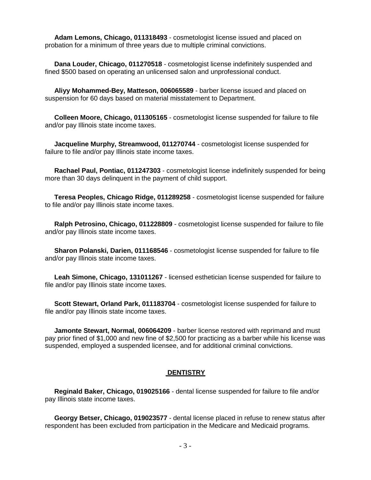**Adam Lemons, Chicago, 011318493** - cosmetologist license issued and placed on probation for a minimum of three years due to multiple criminal convictions.

 **Dana Louder, Chicago, 011270518** - cosmetologist license indefinitely suspended and fined \$500 based on operating an unlicensed salon and unprofessional conduct.

 **Aliyy Mohammed-Bey, Matteson, 006065589** - barber license issued and placed on suspension for 60 days based on material misstatement to Department.

 **Colleen Moore, Chicago, 011305165** - cosmetologist license suspended for failure to file and/or pay Illinois state income taxes.

 **Jacqueline Murphy, Streamwood, 011270744** - cosmetologist license suspended for failure to file and/or pay Illinois state income taxes.

 **Rachael Paul, Pontiac, 011247303** - cosmetologist license indefinitely suspended for being more than 30 days delinquent in the payment of child support.

 **Teresa Peoples, Chicago Ridge, 011289258** - cosmetologist license suspended for failure to file and/or pay Illinois state income taxes.

 **Ralph Petrosino, Chicago, 011228809** - cosmetologist license suspended for failure to file and/or pay Illinois state income taxes.

 **Sharon Polanski, Darien, 011168546** - cosmetologist license suspended for failure to file and/or pay Illinois state income taxes.

 **Leah Simone, Chicago, 131011267** - licensed esthetician license suspended for failure to file and/or pay Illinois state income taxes.

 **Scott Stewart, Orland Park, 011183704** - cosmetologist license suspended for failure to file and/or pay Illinois state income taxes.

 **Jamonte Stewart, Normal, 006064209** - barber license restored with reprimand and must pay prior fined of \$1,000 and new fine of \$2,500 for practicing as a barber while his license was suspended, employed a suspended licensee, and for additional criminal convictions.

#### **DENTISTRY**

 **Reginald Baker, Chicago, 019025166** - dental license suspended for failure to file and/or pay Illinois state income taxes.

 **Georgy Betser, Chicago, 019023577** - dental license placed in refuse to renew status after respondent has been excluded from participation in the Medicare and Medicaid programs.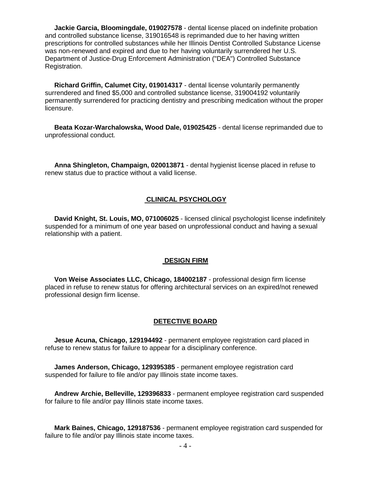**Jackie Garcia, Bloomingdale, 019027578** - dental license placed on indefinite probation and controlled substance license, 319016548 is reprimanded due to her having written prescriptions for controlled substances while her Illinois Dentist Controlled Substance License was non-renewed and expired and due to her having voluntarily surrendered her U.S. Department of Justice-Drug Enforcement Administration ("DEA") Controlled Substance Registration.

 **Richard Griffin, Calumet City, 019014317** - dental license voluntarily permanently surrendered and fined \$5,000 and controlled substance license, 319004192 voluntarily permanently surrendered for practicing dentistry and prescribing medication without the proper licensure.

 **Beata Kozar-Warchalowska, Wood Dale, 019025425** - dental license reprimanded due to unprofessional conduct.

 **Anna Shingleton, Champaign, 020013871** - dental hygienist license placed in refuse to renew status due to practice without a valid license.

#### **CLINICAL PSYCHOLOGY**

 **David Knight, St. Louis, MO, 071006025** - licensed clinical psychologist license indefinitely suspended for a minimum of one year based on unprofessional conduct and having a sexual relationship with a patient.

#### **DESIGN FIRM**

 **Von Weise Associates LLC, Chicago, 184002187** - professional design firm license placed in refuse to renew status for offering architectural services on an expired/not renewed professional design firm license.

#### **DETECTIVE BOARD**

 **Jesue Acuna, Chicago, 129194492** - permanent employee registration card placed in refuse to renew status for failure to appear for a disciplinary conference.

 **James Anderson, Chicago, 129395385** - permanent employee registration card suspended for failure to file and/or pay Illinois state income taxes.

 **Andrew Archie, Belleville, 129396833** - permanent employee registration card suspended for failure to file and/or pay Illinois state income taxes.

 **Mark Baines, Chicago, 129187536** - permanent employee registration card suspended for failure to file and/or pay Illinois state income taxes.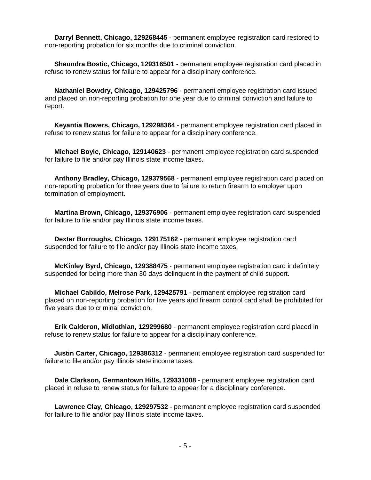**Darryl Bennett, Chicago, 129268445** - permanent employee registration card restored to non-reporting probation for six months due to criminal conviction.

 **Shaundra Bostic, Chicago, 129316501** - permanent employee registration card placed in refuse to renew status for failure to appear for a disciplinary conference.

**Nathaniel Bowdry, Chicago, 129425796** - permanent employee registration card issued and placed on non-reporting probation for one year due to criminal conviction and failure to report.

 **Keyantia Bowers, Chicago, 129298364** - permanent employee registration card placed in refuse to renew status for failure to appear for a disciplinary conference.

 **Michael Boyle, Chicago, 129140623** - permanent employee registration card suspended for failure to file and/or pay Illinois state income taxes.

 **Anthony Bradley, Chicago, 129379568** - permanent employee registration card placed on non-reporting probation for three years due to failure to return firearm to employer upon termination of employment.

 **Martina Brown, Chicago, 129376906** - permanent employee registration card suspended for failure to file and/or pay Illinois state income taxes.

 **Dexter Burroughs, Chicago, 129175162** - permanent employee registration card suspended for failure to file and/or pay Illinois state income taxes.

 **McKinley Byrd, Chicago, 129388475** - permanent employee registration card indefinitely suspended for being more than 30 days delinquent in the payment of child support.

 **Michael Cabildo, Melrose Park, 129425791** - permanent employee registration card placed on non-reporting probation for five years and firearm control card shall be prohibited for five years due to criminal conviction.

 **Erik Calderon, Midlothian, 129299680** - permanent employee registration card placed in refuse to renew status for failure to appear for a disciplinary conference.

 **Justin Carter, Chicago, 129386312** - permanent employee registration card suspended for failure to file and/or pay Illinois state income taxes.

 **Dale Clarkson, Germantown Hills, 129331008** - permanent employee registration card placed in refuse to renew status for failure to appear for a disciplinary conference.

 **Lawrence Clay, Chicago, 129297532** - permanent employee registration card suspended for failure to file and/or pay Illinois state income taxes.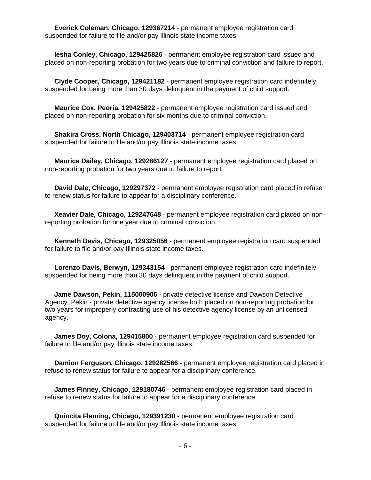**Everick Coleman, Chicago, 129367214** - permanent employee registration card suspended for failure to file and/or pay Illinois state income taxes.

 **Iesha Conley, Chicago, 129425826** - permanent employee registration card issued and placed on non-reporting probation for two years due to criminal conviction and failure to report.

 **Clyde Cooper, Chicago, 129421182** - permanent employee registration card indefinitely suspended for being more than 30 days delinquent in the payment of child support.

 **Maurice Cox, Peoria, 129425822** - permanent employee registration card issued and placed on non-reporting probation for six months due to criminal conviction.

 **Shakira Cross, North Chicago, 129403714** - permanent employee registration card suspended for failure to file and/or pay Illinois state income taxes.

 **Maurice Dailey, Chicago, 129286127** - permanent employee registration card placed on non-reporting probation for two years due to failure to report.

 **David Dale, Chicago, 129297372** - permanent employee registration card placed in refuse to renew status for failure to appear for a disciplinary conference.

 **Xeavier Dale, Chicago, 129247648** - permanent employee registration card placed on nonreporting probation for one year due to criminal conviction.

 **Kenneth Davis, Chicago, 129325056** - permanent employee registration card suspended for failure to file and/or pay Illinois state income taxes.

 **Lorenzo Davis, Berwyn, 129343154** - permanent employee registration card indefinitely suspended for being more than 30 days delinquent in the payment of child support.

 **Jame Dawson, Pekin, 115000906** - private detective license and Dawson Detective Agency, Pekin - private detective agency license both placed on non-reporting probation for two years for improperly contracting use of his detective agency license by an unlicensed agency.

 **James Doy, Colona, 129415800** - permanent employee registration card suspended for failure to file and/or pay Illinois state income taxes.

 **Damion Ferguson, Chicago, 129282566** - permanent employee registration card placed in refuse to renew status for failure to appear for a disciplinary conference.

 **James Finney, Chicago, 129180746** - permanent employee registration card placed in refuse to renew status for failure to appear for a disciplinary conference.

 **Quincita Fleming, Chicago, 129391230** - permanent employee registration card suspended for failure to file and/or pay Illinois state income taxes.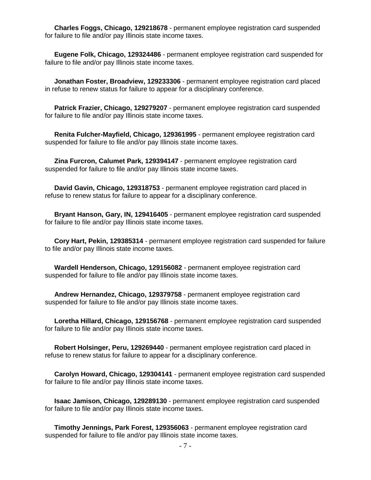**Charles Foggs, Chicago, 129218678** - permanent employee registration card suspended for failure to file and/or pay Illinois state income taxes.

 **Eugene Folk, Chicago, 129324486** - permanent employee registration card suspended for failure to file and/or pay Illinois state income taxes.

 **Jonathan Foster, Broadview, 129233306** - permanent employee registration card placed in refuse to renew status for failure to appear for a disciplinary conference.

 **Patrick Frazier, Chicago, 129279207** - permanent employee registration card suspended for failure to file and/or pay Illinois state income taxes.

 **Renita Fulcher-Mayfield, Chicago, 129361995** - permanent employee registration card suspended for failure to file and/or pay Illinois state income taxes.

 **Zina Furcron, Calumet Park, 129394147** - permanent employee registration card suspended for failure to file and/or pay Illinois state income taxes.

 **David Gavin, Chicago, 129318753** - permanent employee registration card placed in refuse to renew status for failure to appear for a disciplinary conference.

 **Bryant Hanson, Gary, IN, 129416405** - permanent employee registration card suspended for failure to file and/or pay Illinois state income taxes.

 **Cory Hart, Pekin, 129385314** - permanent employee registration card suspended for failure to file and/or pay Illinois state income taxes.

 **Wardell Henderson, Chicago, 129156082** - permanent employee registration card suspended for failure to file and/or pay Illinois state income taxes.

 **Andrew Hernandez, Chicago, 129379758** - permanent employee registration card suspended for failure to file and/or pay Illinois state income taxes.

 **Loretha Hillard, Chicago, 129156768** - permanent employee registration card suspended for failure to file and/or pay Illinois state income taxes.

 **Robert Holsinger, Peru, 129269440** - permanent employee registration card placed in refuse to renew status for failure to appear for a disciplinary conference.

 **Carolyn Howard, Chicago, 129304141** - permanent employee registration card suspended for failure to file and/or pay Illinois state income taxes.

 **Isaac Jamison, Chicago, 129289130** - permanent employee registration card suspended for failure to file and/or pay Illinois state income taxes.

 **Timothy Jennings, Park Forest, 129356063** - permanent employee registration card suspended for failure to file and/or pay Illinois state income taxes.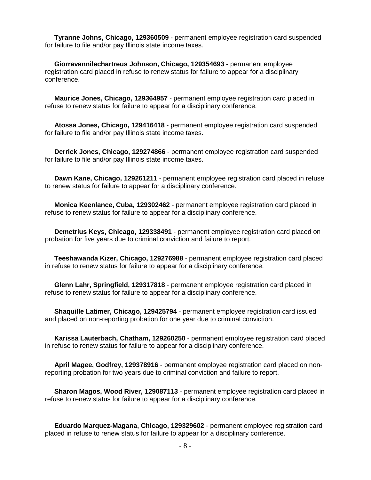**Tyranne Johns, Chicago, 129360509** - permanent employee registration card suspended for failure to file and/or pay Illinois state income taxes.

 **Giorravannilechartreus Johnson, Chicago, 129354693** - permanent employee registration card placed in refuse to renew status for failure to appear for a disciplinary conference.

 **Maurice Jones, Chicago, 129364957** - permanent employee registration card placed in refuse to renew status for failure to appear for a disciplinary conference.

 **Atossa Jones, Chicago, 129416418** - permanent employee registration card suspended for failure to file and/or pay Illinois state income taxes.

 **Derrick Jones, Chicago, 129274866** - permanent employee registration card suspended for failure to file and/or pay Illinois state income taxes.

 **Dawn Kane, Chicago, 129261211** - permanent employee registration card placed in refuse to renew status for failure to appear for a disciplinary conference.

 **Monica Keenlance, Cuba, 129302462** - permanent employee registration card placed in refuse to renew status for failure to appear for a disciplinary conference.

 **Demetrius Keys, Chicago, 129338491** - permanent employee registration card placed on probation for five years due to criminal conviction and failure to report.

 **Teeshawanda Kizer, Chicago, 129276988** - permanent employee registration card placed in refuse to renew status for failure to appear for a disciplinary conference.

 **Glenn Lahr, Springfield, 129317818** - permanent employee registration card placed in refuse to renew status for failure to appear for a disciplinary conference.

 **Shaquille Latimer, Chicago, 129425794** - permanent employee registration card issued and placed on non-reporting probation for one year due to criminal conviction.

 **Karissa Lauterbach, Chatham, 129260250** - permanent employee registration card placed in refuse to renew status for failure to appear for a disciplinary conference.

 **April Magee, Godfrey, 129378916** - permanent employee registration card placed on nonreporting probation for two years due to criminal conviction and failure to report.

 **Sharon Magos, Wood River, 129087113** - permanent employee registration card placed in refuse to renew status for failure to appear for a disciplinary conference.

 **Eduardo Marquez-Magana, Chicago, 129329602** - permanent employee registration card placed in refuse to renew status for failure to appear for a disciplinary conference.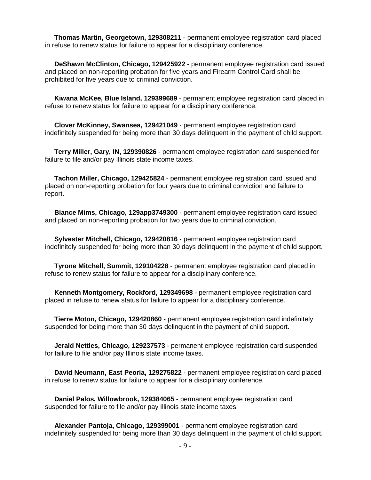**Thomas Martin, Georgetown, 129308211** - permanent employee registration card placed in refuse to renew status for failure to appear for a disciplinary conference.

 **DeShawn McClinton, Chicago, 129425922** - permanent employee registration card issued and placed on non-reporting probation for five years and Firearm Control Card shall be prohibited for five years due to criminal conviction.

 **Kiwana McKee, Blue Island, 129399689** - permanent employee registration card placed in refuse to renew status for failure to appear for a disciplinary conference.

 **Clover McKinney, Swansea, 129421049** - permanent employee registration card indefinitely suspended for being more than 30 days delinquent in the payment of child support.

 **Terry Miller, Gary, IN, 129390826** - permanent employee registration card suspended for failure to file and/or pay Illinois state income taxes.

 **Tachon Miller, Chicago, 129425824** - permanent employee registration card issued and placed on non-reporting probation for four years due to criminal conviction and failure to report.

 **Biance Mims, Chicago, 129app3749300** - permanent employee registration card issued and placed on non-reporting probation for two years due to criminal conviction.

 **Sylvester Mitchell, Chicago, 129420816** - permanent employee registration card indefinitely suspended for being more than 30 days delinquent in the payment of child support.

 **Tyrone Mitchell, Summit, 129104228** - permanent employee registration card placed in refuse to renew status for failure to appear for a disciplinary conference.

 **Kenneth Montgomery, Rockford, 129349698** - permanent employee registration card placed in refuse to renew status for failure to appear for a disciplinary conference.

 **Tierre Moton, Chicago, 129420860** - permanent employee registration card indefinitely suspended for being more than 30 days delinquent in the payment of child support.

 **Jerald Nettles, Chicago, 129237573** - permanent employee registration card suspended for failure to file and/or pay Illinois state income taxes.

 **David Neumann, East Peoria, 129275822** - permanent employee registration card placed in refuse to renew status for failure to appear for a disciplinary conference.

 **Daniel Palos, Willowbrook, 129384065** - permanent employee registration card suspended for failure to file and/or pay Illinois state income taxes.

 **Alexander Pantoja, Chicago, 129399001** - permanent employee registration card indefinitely suspended for being more than 30 days delinquent in the payment of child support.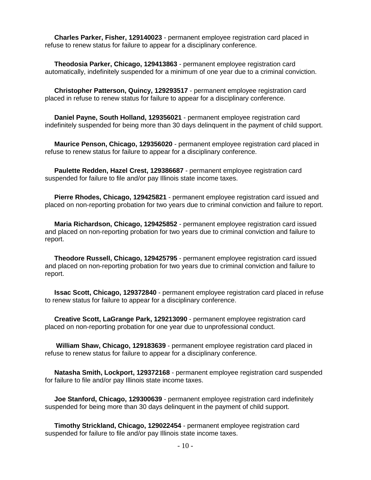**Charles Parker, Fisher, 129140023** - permanent employee registration card placed in refuse to renew status for failure to appear for a disciplinary conference.

 **Theodosia Parker, Chicago, 129413863** - permanent employee registration card automatically, indefinitely suspended for a minimum of one year due to a criminal conviction.

 **Christopher Patterson, Quincy, 129293517** - permanent employee registration card placed in refuse to renew status for failure to appear for a disciplinary conference.

 **Daniel Payne, South Holland, 129356021** - permanent employee registration card indefinitely suspended for being more than 30 days delinquent in the payment of child support.

 **Maurice Penson, Chicago, 129356020** - permanent employee registration card placed in refuse to renew status for failure to appear for a disciplinary conference.

 **Paulette Redden, Hazel Crest, 129386687** - permanent employee registration card suspended for failure to file and/or pay Illinois state income taxes.

 **Pierre Rhodes, Chicago, 129425821** - permanent employee registration card issued and placed on non-reporting probation for two years due to criminal conviction and failure to report.

 **Maria Richardson, Chicago, 129425852** - permanent employee registration card issued and placed on non-reporting probation for two years due to criminal conviction and failure to report.

 **Theodore Russell, Chicago, 129425795** - permanent employee registration card issued and placed on non-reporting probation for two years due to criminal conviction and failure to report.

 **Issac Scott, Chicago, 129372840** - permanent employee registration card placed in refuse to renew status for failure to appear for a disciplinary conference.

 **Creative Scott, LaGrange Park, 129213090** - permanent employee registration card placed on non-reporting probation for one year due to unprofessional conduct.

 **William Shaw, Chicago, 129183639** - permanent employee registration card placed in refuse to renew status for failure to appear for a disciplinary conference.

 **Natasha Smith, Lockport, 129372168** - permanent employee registration card suspended for failure to file and/or pay Illinois state income taxes.

 **Joe Stanford, Chicago, 129300639** - permanent employee registration card indefinitely suspended for being more than 30 days delinquent in the payment of child support.

 **Timothy Strickland, Chicago, 129022454** - permanent employee registration card suspended for failure to file and/or pay Illinois state income taxes.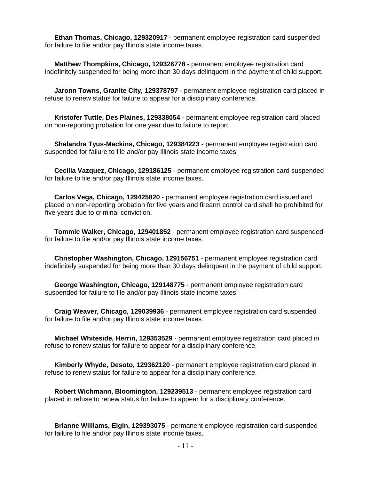**Ethan Thomas, Chicago, 129320917** - permanent employee registration card suspended for failure to file and/or pay Illinois state income taxes.

 **Matthew Thompkins, Chicago, 129326778** - permanent employee registration card indefinitely suspended for being more than 30 days delinquent in the payment of child support.

 **Jaronn Towns, Granite City, 129378797** - permanent employee registration card placed in refuse to renew status for failure to appear for a disciplinary conference.

 **Kristofer Tuttle, Des Plaines, 129338054** - permanent employee registration card placed on non-reporting probation for one year due to failure to report.

 **Shalandra Tyus-Mackins, Chicago, 129384223** - permanent employee registration card suspended for failure to file and/or pay Illinois state income taxes.

 **Cecilia Vazquez, Chicago, 129186125** - permanent employee registration card suspended for failure to file and/or pay Illinois state income taxes.

 **Carlos Vega, Chicago, 129425820** - permanent employee registration card issued and placed on non-reporting probation for five years and firearm control card shall be prohibited for five years due to criminal conviction.

 **Tommie Walker, Chicago, 129401852** - permanent employee registration card suspended for failure to file and/or pay Illinois state income taxes.

 **Christopher Washington, Chicago, 129156751** - permanent employee registration card indefinitely suspended for being more than 30 days delinquent in the payment of child support.

 **George Washington, Chicago, 129148775** - permanent employee registration card suspended for failure to file and/or pay Illinois state income taxes.

 **Craig Weaver, Chicago, 129039936** - permanent employee registration card suspended for failure to file and/or pay Illinois state income taxes.

 **Michael Whiteside, Herrin, 129353529** - permanent employee registration card placed in refuse to renew status for failure to appear for a disciplinary conference.

 **Kimberly Whyde, Desoto, 129362120** - permanent employee registration card placed in refuse to renew status for failure to appear for a disciplinary conference.

 **Robert Wichmann, Bloomington, 129239513** - permanent employee registration card placed in refuse to renew status for failure to appear for a disciplinary conference.

 **Brianne Williams, Elgin, 129393075** - permanent employee registration card suspended for failure to file and/or pay Illinois state income taxes.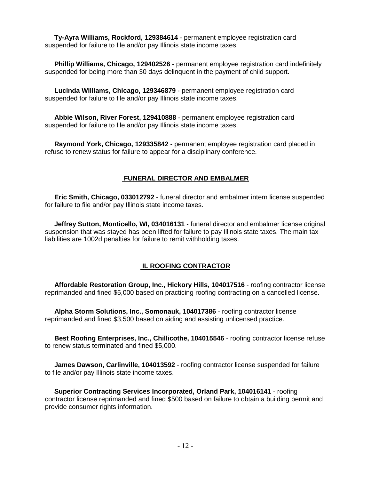**Ty-Ayra Williams, Rockford, 129384614** - permanent employee registration card suspended for failure to file and/or pay Illinois state income taxes.

 **Phillip Williams, Chicago, 129402526** - permanent employee registration card indefinitely suspended for being more than 30 days delinquent in the payment of child support.

 **Lucinda Williams, Chicago, 129346879** - permanent employee registration card suspended for failure to file and/or pay Illinois state income taxes.

 **Abbie Wilson, River Forest, 129410888** - permanent employee registration card suspended for failure to file and/or pay Illinois state income taxes.

 **Raymond York, Chicago, 129335842** - permanent employee registration card placed in refuse to renew status for failure to appear for a disciplinary conference.

#### **FUNERAL DIRECTOR AND EMBALMER**

 **Eric Smith, Chicago, 033012792** - funeral director and embalmer intern license suspended for failure to file and/or pay Illinois state income taxes.

 **Jeffrey Sutton, Monticello, WI, 034016131** - funeral director and embalmer license original suspension that was stayed has been lifted for failure to pay Illinois state taxes. The main tax liabilities are 1002d penalties for failure to remit withholding taxes.

#### **IL ROOFING CONTRACTOR**

 **Affordable Restoration Group, Inc., Hickory Hills, 104017516** - roofing contractor license reprimanded and fined \$5,000 based on practicing roofing contracting on a cancelled license.

 **Alpha Storm Solutions, Inc., Somonauk, 104017386** - roofing contractor license reprimanded and fined \$3,500 based on aiding and assisting unlicensed practice.

 **Best Roofing Enterprises, Inc., Chillicothe, 104015546** - roofing contractor license refuse to renew status terminated and fined \$5,000.

 **James Dawson, Carlinville, 104013592** - roofing contractor license suspended for failure to file and/or pay Illinois state income taxes.

 **Superior Contracting Services Incorporated, Orland Park, 104016141** - roofing contractor license reprimanded and fined \$500 based on failure to obtain a building permit and provide consumer rights information.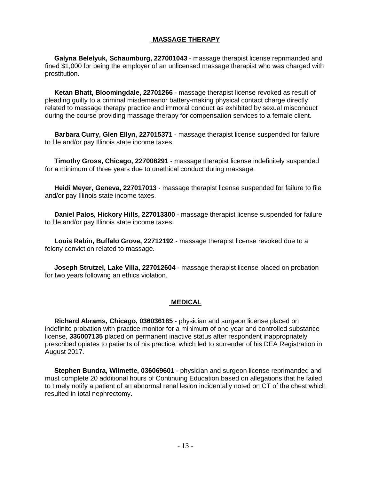#### **MASSAGE THERAPY**

 **Galyna Belelyuk, Schaumburg, 227001043** - massage therapist license reprimanded and fined \$1,000 for being the employer of an unlicensed massage therapist who was charged with prostitution.

 **Ketan Bhatt, Bloomingdale, 22701266** - massage therapist license revoked as result of pleading guilty to a criminal misdemeanor battery-making physical contact charge directly related to massage therapy practice and immoral conduct as exhibited by sexual misconduct during the course providing massage therapy for compensation services to a female client.

 **Barbara Curry, Glen Ellyn, 227015371** - massage therapist license suspended for failure to file and/or pay Illinois state income taxes.

 **Timothy Gross, Chicago, 227008291** - massage therapist license indefinitely suspended for a minimum of three years due to unethical conduct during massage.

 **Heidi Meyer, Geneva, 227017013** - massage therapist license suspended for failure to file and/or pay Illinois state income taxes.

 **Daniel Palos, Hickory Hills, 227013300** - massage therapist license suspended for failure to file and/or pay Illinois state income taxes.

 **Louis Rabin, Buffalo Grove, 22712192** - massage therapist license revoked due to a felony conviction related to massage.

 **Joseph Strutzel, Lake Villa, 227012604** - massage therapist license placed on probation for two years following an ethics violation.

#### **MEDICAL**

 **Richard Abrams, Chicago, 036036185** - physician and surgeon license placed on indefinite probation with practice monitor for a minimum of one year and controlled substance license, **336007135** placed on permanent inactive status after respondent inappropriately prescribed opiates to patients of his practice, which led to surrender of his DEA Registration in August 2017.

 **Stephen Bundra, Wilmette, 036069601** - physician and surgeon license reprimanded and must complete 20 additional hours of Continuing Education based on allegations that he failed to timely notify a patient of an abnormal renal lesion incidentally noted on CT of the chest which resulted in total nephrectomy.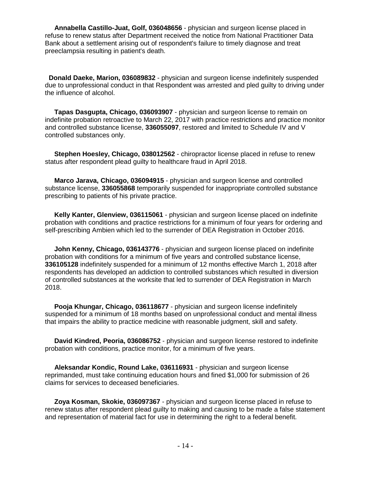**Annabella Castillo-Juat, Golf, 036048656** - physician and surgeon license placed in refuse to renew status after Department received the notice from National Practitioner Data Bank about a settlement arising out of respondent's failure to timely diagnose and treat preeclampsia resulting in patient's death.

 **Donald Daeke, Marion, 036089832** - physician and surgeon license indefinitely suspended due to unprofessional conduct in that Respondent was arrested and pled guilty to driving under the influence of alcohol.

 **Tapas Dasgupta, Chicago, 036093907** - physician and surgeon license to remain on indefinite probation retroactive to March 22, 2017 with practice restrictions and practice monitor and controlled substance license, **336055097**, restored and limited to Schedule IV and V controlled substances only.

 **Stephen Hoesley, Chicago, 038012562** - chiropractor license placed in refuse to renew status after respondent plead guilty to healthcare fraud in April 2018.

 **Marco Jarava, Chicago, 036094915** - physician and surgeon license and controlled substance license, **336055868** temporarily suspended for inappropriate controlled substance prescribing to patients of his private practice.

 **Kelly Kanter, Glenview, 036115061** - physician and surgeon license placed on indefinite probation with conditions and practice restrictions for a minimum of four years for ordering and self-prescribing Ambien which led to the surrender of DEA Registration in October 2016.

 **John Kenny, Chicago, 036143776** - physician and surgeon license placed on indefinite probation with conditions for a minimum of five years and controlled substance license, **336105128** indefinitely suspended for a minimum of 12 months effective March 1, 2018 after respondents has developed an addiction to controlled substances which resulted in diversion of controlled substances at the worksite that led to surrender of DEA Registration in March 2018.

 **Pooja Khungar, Chicago, 036118677** - physician and surgeon license indefinitely suspended for a minimum of 18 months based on unprofessional conduct and mental illness that impairs the ability to practice medicine with reasonable judgment, skill and safety.

 **David Kindred, Peoria, 036086752** - physician and surgeon license restored to indefinite probation with conditions, practice monitor, for a minimum of five years.

 **Aleksandar Kondic, Round Lake, 036116931** - physician and surgeon license reprimanded, must take continuing education hours and fined \$1,000 for submission of 26 claims for services to deceased beneficiaries.

 **Zoya Kosman, Skokie, 036097367** - physician and surgeon license placed in refuse to renew status after respondent plead guilty to making and causing to be made a false statement and representation of material fact for use in determining the right to a federal benefit.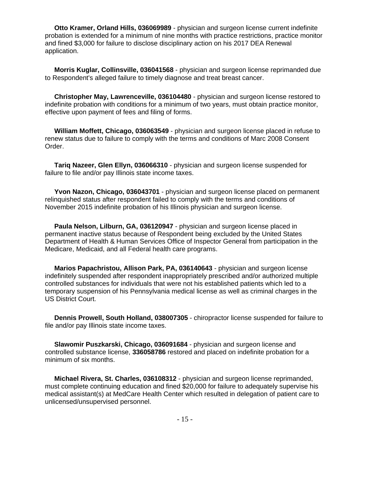**Otto Kramer, Orland Hills, 036069989** - physician and surgeon license current indefinite probation is extended for a minimum of nine months with practice restrictions, practice monitor and fined \$3,000 for failure to disclose disciplinary action on his 2017 DEA Renewal application.

**Morris Kuglar, Collinsville, 036041568** - physician and surgeon license reprimanded due to Respondent's alleged failure to timely diagnose and treat breast cancer.

**Christopher May, Lawrenceville, 036104480** - physician and surgeon license restored to indefinite probation with conditions for a minimum of two years, must obtain practice monitor, effective upon payment of fees and filing of forms.

**William Moffett, Chicago, 036063549** - physician and surgeon license placed in refuse to renew status due to failure to comply with the terms and conditions of Marc 2008 Consent Order.

**Tariq Nazeer, Glen Ellyn, 036066310** - physician and surgeon license suspended for failure to file and/or pay Illinois state income taxes.

**Yvon Nazon, Chicago, 036043701** - physician and surgeon license placed on permanent relinquished status after respondent failed to comply with the terms and conditions of November 2015 indefinite probation of his Illinois physician and surgeon license.

**Paula Nelson, Lilburn, GA, 036120947** - physician and surgeon license placed in permanent inactive status because of Respondent being excluded by the United States Department of Health & Human Services Office of Inspector General from participation in the Medicare, Medicaid, and all Federal health care programs.

**Marios Papachristou, Allison Park, PA, 036140643** - physician and surgeon license indefinitely suspended after respondent inappropriately prescribed and/or authorized multiple controlled substances for individuals that were not his established patients which led to a temporary suspension of his Pennsylvania medical license as well as criminal charges in the US District Court.

**Dennis Prowell, South Holland, 038007305** - chiropractor license suspended for failure to file and/or pay Illinois state income taxes.

**Slawomir Puszkarski, Chicago, 036091684** - physician and surgeon license and controlled substance license, **336058786** restored and placed on indefinite probation for a minimum of six months.

**Michael Rivera, St. Charles, 036108312** - physician and surgeon license reprimanded, must complete continuing education and fined \$20,000 for failure to adequately supervise his medical assistant(s) at MedCare Health Center which resulted in delegation of patient care to unlicensed/unsupervised personnel.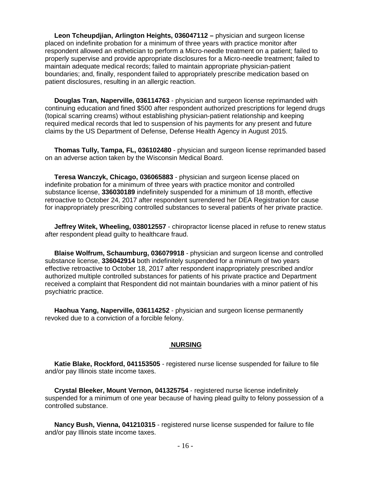**Leon Tcheupdjian, Arlington Heights, 036047112 –** physician and surgeon license placed on indefinite probation for a minimum of three years with practice monitor after respondent allowed an esthetician to perform a Micro-needle treatment on a patient; failed to properly supervise and provide appropriate disclosures for a Micro-needle treatment; failed to maintain adequate medical records; failed to maintain appropriate physician-patient boundaries; and, finally, respondent failed to appropriately prescribe medication based on patient disclosures, resulting in an allergic reaction.

 **Douglas Tran, Naperville, 036114763** - physician and surgeon license reprimanded with continuing education and fined \$500 after respondent authorized prescriptions for legend drugs (topical scarring creams) without establishing physician-patient relationship and keeping required medical records that led to suspension of his payments for any present and future claims by the US Department of Defense, Defense Health Agency in August 2015.

 **Thomas Tully, Tampa, FL, 036102480** - physician and surgeon license reprimanded based on an adverse action taken by the Wisconsin Medical Board.

 **Teresa Wanczyk, Chicago, 036065883** - physician and surgeon license placed on indefinite probation for a minimum of three years with practice monitor and controlled substance license, **336030189** indefinitely suspended for a minimum of 18 month, effective retroactive to October 24, 2017 after respondent surrendered her DEA Registration for cause for inappropriately prescribing controlled substances to several patients of her private practice.

 **Jeffrey Witek, Wheeling, 038012557** - chiropractor license placed in refuse to renew status after respondent plead guilty to healthcare fraud.

 **Blaise Wolfrum, Schaumburg, 036079918** - physician and surgeon license and controlled substance license, **336042914** both indefinitely suspended for a minimum of two years effective retroactive to October 18, 2017 after respondent inappropriately prescribed and/or authorized multiple controlled substances for patients of his private practice and Department received a complaint that Respondent did not maintain boundaries with a minor patient of his psychiatric practice.

 **Haohua Yang, Naperville, 036114252** - physician and surgeon license permanently revoked due to a conviction of a forcible felony.

#### **NURSING**

 **Katie Blake, Rockford, 041153505** - registered nurse license suspended for failure to file and/or pay Illinois state income taxes.

 **Crystal Bleeker, Mount Vernon, 041325754** - registered nurse license indefinitely suspended for a minimum of one year because of having plead guilty to felony possession of a controlled substance.

 **Nancy Bush, Vienna, 041210315** - registered nurse license suspended for failure to file and/or pay Illinois state income taxes.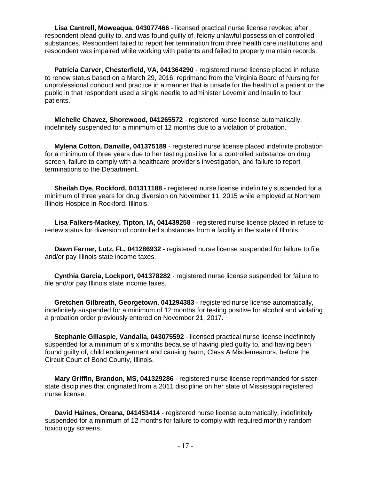**Lisa Cantrell, Moweaqua, 043077466** - licensed practical nurse license revoked after respondent plead guilty to, and was found guilty of, felony unlawful possession of controlled substances. Respondent failed to report her termination from three health care institutions and respondent was impaired while working with patients and failed to properly maintain records.

Patricia Carver, Chesterfield, VA, 041364290 - registered nurse license placed in refuse to renew status based on a March 29, 2016, reprimand from the Virginia Board of Nursing for unprofessional conduct and practice in a manner that is unsafe for the health of a patient or the public in that respondent used a single needle to administer Levemir and Insulin to four patients.

 **Michelle Chavez, Shorewood, 041265572** - registered nurse license automatically, indefinitely suspended for a minimum of 12 months due to a violation of probation.

 **Mylena Cotton, Danville, 041375189** - registered nurse license placed indefinite probation for a minimum of three years due to her testing positive for a controlled substance on drug screen, failure to comply with a healthcare provider's investigation, and failure to report terminations to the Department.

 **Sheilah Dye, Rockford, 041311188** - registered nurse license indefinitely suspended for a minimum of three years for drug diversion on November 11, 2015 while employed at Northern Illinois Hospice in Rockford, Illinois.

 **Lisa Falkers-Mackey, Tipton, IA, 041439258** - registered nurse license placed in refuse to renew status for diversion of controlled substances from a facility in the state of Illinois.

 **Dawn Farner, Lutz, FL, 041286932** - registered nurse license suspended for failure to file and/or pay Illinois state income taxes.

 **Cynthia Garcia, Lockport, 041378282** - registered nurse license suspended for failure to file and/or pay Illinois state income taxes.

 **Gretchen Gilbreath, Georgetown, 041294383** - registered nurse license automatically, indefinitely suspended for a minimum of 12 months for testing positive for alcohol and violating a probation order previously entered on November 21, 2017.

 **Stephanie Gillaspie, Vandalia, 043075592** - licensed practical nurse license indefinitely suspended for a minimum of six months because of having pled guilty to, and having been found guilty of, child endangerment and causing harm, Class A Misdemeanors, before the Circuit Court of Bond County, Illinois.

 **Mary Griffin, Brandon, MS, 041329286** - registered nurse license reprimanded for sisterstate disciplines that originated from a 2011 discipline on her state of Mississippi registered nurse license.

 **David Haines, Oreana, 041453414** - registered nurse license automatically, indefinitely suspended for a minimum of 12 months for failure to comply with required monthly random toxicology screens.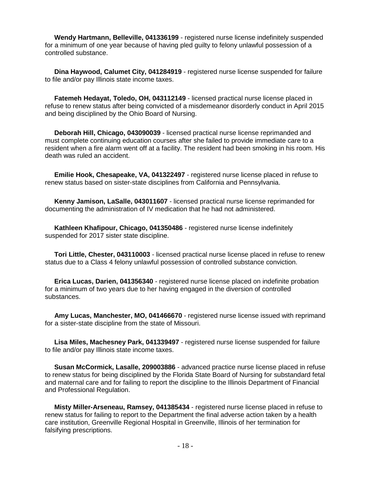**Wendy Hartmann, Belleville, 041336199** - registered nurse license indefinitely suspended for a minimum of one year because of having pled guilty to felony unlawful possession of a controlled substance.

 **Dina Haywood, Calumet City, 041284919** - registered nurse license suspended for failure to file and/or pay Illinois state income taxes.

 **Fatemeh Hedayat, Toledo, OH, 043112149** - licensed practical nurse license placed in refuse to renew status after being convicted of a misdemeanor disorderly conduct in April 2015 and being disciplined by the Ohio Board of Nursing.

 **Deborah Hill, Chicago, 043090039** - licensed practical nurse license reprimanded and must complete continuing education courses after she failed to provide immediate care to a resident when a fire alarm went off at a facility. The resident had been smoking in his room. His death was ruled an accident.

 **Emilie Hook, Chesapeake, VA, 041322497** - registered nurse license placed in refuse to renew status based on sister-state disciplines from California and Pennsylvania.

 **Kenny Jamison, LaSalle, 043011607** - licensed practical nurse license reprimanded for documenting the administration of IV medication that he had not administered.

 **Kathleen Khafipour, Chicago, 041350486** - registered nurse license indefinitely suspended for 2017 sister state discipline.

 **Tori Little, Chester, 043110003** - licensed practical nurse license placed in refuse to renew status due to a Class 4 felony unlawful possession of controlled substance conviction.

 **Erica Lucas, Darien, 041356340** - registered nurse license placed on indefinite probation for a minimum of two years due to her having engaged in the diversion of controlled substances.

 **Amy Lucas, Manchester, MO, 041466670** - registered nurse license issued with reprimand for a sister-state discipline from the state of Missouri.

 **Lisa Miles, Machesney Park, 041339497** - registered nurse license suspended for failure to file and/or pay Illinois state income taxes.

 **Susan McCormick, Lasalle, 209003886** - advanced practice nurse license placed in refuse to renew status for being disciplined by the Florida State Board of Nursing for substandard fetal and maternal care and for failing to report the discipline to the Illinois Department of Financial and Professional Regulation.

 **Misty Miller-Arseneau, Ramsey, 041385434** - registered nurse license placed in refuse to renew status for failing to report to the Department the final adverse action taken by a health care institution, Greenville Regional Hospital in Greenville, Illinois of her termination for falsifying prescriptions.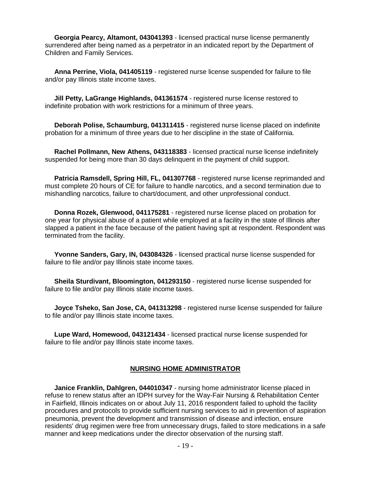**Georgia Pearcy, Altamont, 043041393** - licensed practical nurse license permanently surrendered after being named as a perpetrator in an indicated report by the Department of Children and Family Services.

 **Anna Perrine, Viola, 041405119** - registered nurse license suspended for failure to file and/or pay Illinois state income taxes.

 **Jill Petty, LaGrange Highlands, 041361574** - registered nurse license restored to indefinite probation with work restrictions for a minimum of three years.

 **Deborah Polise, Schaumburg, 041311415** - registered nurse license placed on indefinite probation for a minimum of three years due to her discipline in the state of California.

 **Rachel Pollmann, New Athens, 043118383** - licensed practical nurse license indefinitely suspended for being more than 30 days delinquent in the payment of child support.

 **Patricia Ramsdell, Spring Hill, FL, 041307768** - registered nurse license reprimanded and must complete 20 hours of CE for failure to handle narcotics, and a second termination due to mishandling narcotics, failure to chart/document, and other unprofessional conduct.

 **Donna Rozek, Glenwood, 041175281** - registered nurse license placed on probation for one year for physical abuse of a patient while employed at a facility in the state of Illinois after slapped a patient in the face because of the patient having spit at respondent. Respondent was terminated from the facility.

 **Yvonne Sanders, Gary, IN, 043084326** - licensed practical nurse license suspended for failure to file and/or pay Illinois state income taxes.

 **Sheila Sturdivant, Bloomington, 041293150** - registered nurse license suspended for failure to file and/or pay Illinois state income taxes.

 **Joyce Tsheko, San Jose, CA, 041313298** - registered nurse license suspended for failure to file and/or pay Illinois state income taxes.

 **Lupe Ward, Homewood, 043121434** - licensed practical nurse license suspended for failure to file and/or pay Illinois state income taxes.

#### **NURSING HOME ADMINISTRATOR**

 **Janice Franklin, Dahlgren, 044010347** - nursing home administrator license placed in refuse to renew status after an IDPH survey for the Way-Fair Nursing & Rehabilitation Center in Fairfield, Illinois indicates on or about July 11, 2016 respondent failed to uphold the facility procedures and protocols to provide sufficient nursing services to aid in prevention of aspiration pneumonia, prevent the development and transmission of disease and infection, ensure residents' drug regimen were free from unnecessary drugs, failed to store medications in a safe manner and keep medications under the director observation of the nursing staff.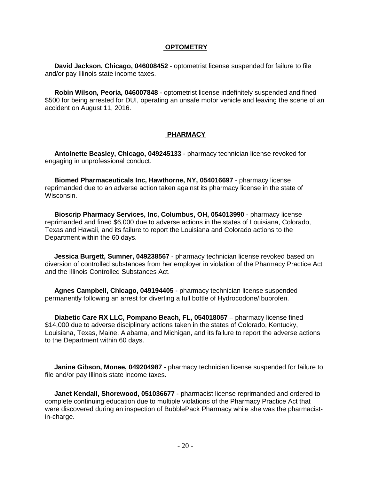#### **OPTOMETRY**

 **David Jackson, Chicago, 046008452** - optometrist license suspended for failure to file and/or pay Illinois state income taxes.

 **Robin Wilson, Peoria, 046007848** - optometrist license indefinitely suspended and fined \$500 for being arrested for DUI, operating an unsafe motor vehicle and leaving the scene of an accident on August 11, 2016.

#### **PHARMACY**

 **Antoinette Beasley, Chicago, 049245133** - pharmacy technician license revoked for engaging in unprofessional conduct.

 **Biomed Pharmaceuticals Inc, Hawthorne, NY, 054016697** - pharmacy license reprimanded due to an adverse action taken against its pharmacy license in the state of Wisconsin.

 **Bioscrip Pharmacy Services, Inc, Columbus, OH, 054013990** - pharmacy license reprimanded and fined \$6,000 due to adverse actions in the states of Louisiana, Colorado, Texas and Hawaii, and its failure to report the Louisiana and Colorado actions to the Department within the 60 days.

 **Jessica Burgett, Sumner, 049238567** - pharmacy technician license revoked based on diversion of controlled substances from her employer in violation of the Pharmacy Practice Act and the Illinois Controlled Substances Act.

 **Agnes Campbell, Chicago, 049194405** - pharmacy technician license suspended permanently following an arrest for diverting a full bottle of Hydrocodone/Ibuprofen.

 **Diabetic Care RX LLC, Pompano Beach, FL, 054018057** – pharmacy license fined \$14,000 due to adverse disciplinary actions taken in the states of Colorado, Kentucky, Louisiana, Texas, Maine, Alabama, and Michigan, and its failure to report the adverse actions to the Department within 60 days.

 **Janine Gibson, Monee, 049204987** - pharmacy technician license suspended for failure to file and/or pay Illinois state income taxes.

 **Janet Kendall, Shorewood, 051036677** - pharmacist license reprimanded and ordered to complete continuing education due to multiple violations of the Pharmacy Practice Act that were discovered during an inspection of BubblePack Pharmacy while she was the pharmacistin-charge.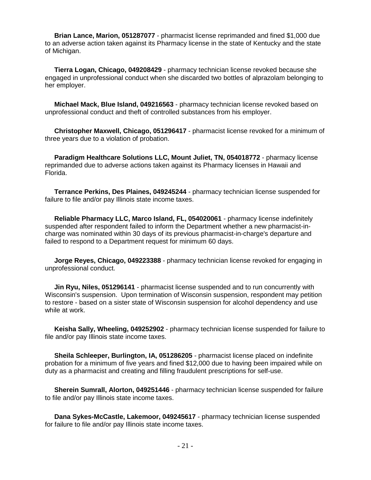**Brian Lance, Marion, 051287077** - pharmacist license reprimanded and fined \$1,000 due to an adverse action taken against its Pharmacy license in the state of Kentucky and the state of Michigan.

 **Tierra Logan, Chicago, 049208429** - pharmacy technician license revoked because she engaged in unprofessional conduct when she discarded two bottles of alprazolam belonging to her employer.

 **Michael Mack, Blue Island, 049216563** - pharmacy technician license revoked based on unprofessional conduct and theft of controlled substances from his employer.

 **Christopher Maxwell, Chicago, 051296417** - pharmacist license revoked for a minimum of three years due to a violation of probation.

 **Paradigm Healthcare Solutions LLC, Mount Juliet, TN, 054018772** - pharmacy license reprimanded due to adverse actions taken against its Pharmacy licenses in Hawaii and Florida.

 **Terrance Perkins, Des Plaines, 049245244** - pharmacy technician license suspended for failure to file and/or pay Illinois state income taxes.

 **Reliable Pharmacy LLC, Marco Island, FL, 054020061** - pharmacy license indefinitely suspended after respondent failed to inform the Department whether a new pharmacist-incharge was nominated within 30 days of its previous pharmacist-in-charge's departure and failed to respond to a Department request for minimum 60 days.

 **Jorge Reyes, Chicago, 049223388** - pharmacy technician license revoked for engaging in unprofessional conduct.

 **Jin Ryu, Niles, 051296141** - pharmacist license suspended and to run concurrently with Wisconsin's suspension. Upon termination of Wisconsin suspension, respondent may petition to restore - based on a sister state of Wisconsin suspension for alcohol dependency and use while at work.

 **Keisha Sally, Wheeling, 049252902** - pharmacy technician license suspended for failure to file and/or pay Illinois state income taxes.

 **Sheila Schleeper, Burlington, IA, 051286205** - pharmacist license placed on indefinite probation for a minimum of five years and fined \$12,000 due to having been impaired while on duty as a pharmacist and creating and filling fraudulent prescriptions for self-use.

 **Sherein Sumrall, Alorton, 049251446** - pharmacy technician license suspended for failure to file and/or pay Illinois state income taxes.

 **Dana Sykes-McCastle, Lakemoor, 049245617** - pharmacy technician license suspended for failure to file and/or pay Illinois state income taxes.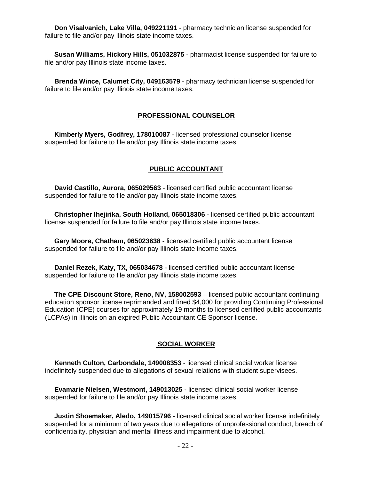**Don Visalvanich, Lake Villa, 049221191** - pharmacy technician license suspended for failure to file and/or pay Illinois state income taxes.

 **Susan Williams, Hickory Hills, 051032875** - pharmacist license suspended for failure to file and/or pay Illinois state income taxes.

 **Brenda Wince, Calumet City, 049163579** - pharmacy technician license suspended for failure to file and/or pay Illinois state income taxes.

#### **PROFESSIONAL COUNSELOR**

 **Kimberly Myers, Godfrey, 178010087** - licensed professional counselor license suspended for failure to file and/or pay Illinois state income taxes.

#### **PUBLIC ACCOUNTANT**

 **David Castillo, Aurora, 065029563** - licensed certified public accountant license suspended for failure to file and/or pay Illinois state income taxes.

 **Christopher Ihejirika, South Holland, 065018306** - licensed certified public accountant license suspended for failure to file and/or pay Illinois state income taxes.

 **Gary Moore, Chatham, 065023638** - licensed certified public accountant license suspended for failure to file and/or pay Illinois state income taxes.

 **Daniel Rezek, Katy, TX, 065034678** - licensed certified public accountant license suspended for failure to file and/or pay Illinois state income taxes.

 **The CPE Discount Store, Reno, NV, 158002593** – licensed public accountant continuing education sponsor license reprimanded and fined \$4,000 for providing Continuing Professional Education (CPE) courses for approximately 19 months to licensed certified public accountants (LCPAs) in Illinois on an expired Public Accountant CE Sponsor license.

#### **SOCIAL WORKER**

 **Kenneth Culton, Carbondale, 149008353** - licensed clinical social worker license indefinitely suspended due to allegations of sexual relations with student supervisees.

 **Evamarie Nielsen, Westmont, 149013025** - licensed clinical social worker license suspended for failure to file and/or pay Illinois state income taxes.

 **Justin Shoemaker, Aledo, 149015796** - licensed clinical social worker license indefinitely suspended for a minimum of two years due to allegations of unprofessional conduct, breach of confidentiality, physician and mental illness and impairment due to alcohol.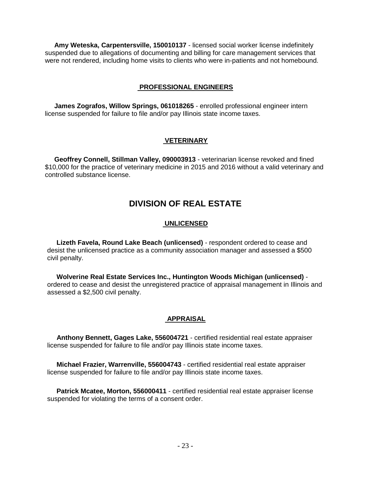**Amy Weteska, Carpentersville, 150010137** - licensed social worker license indefinitely suspended due to allegations of documenting and billing for care management services that were not rendered, including home visits to clients who were in-patients and not homebound.

#### **PROFESSIONAL ENGINEERS**

 **James Zografos, Willow Springs, 061018265** - enrolled professional engineer intern license suspended for failure to file and/or pay Illinois state income taxes.

#### **VETERINARY**

 **Geoffrey Connell, Stillman Valley, 090003913** - veterinarian license revoked and fined \$10,000 for the practice of veterinary medicine in 2015 and 2016 without a valid veterinary and controlled substance license.

# **DIVISION OF REAL ESTATE**

#### **UNLICENSED**

 **Lizeth Favela, Round Lake Beach (unlicensed)** - respondent ordered to cease and desist the unlicensed practice as a community association manager and assessed a \$500 civil penalty.

 **Wolverine Real Estate Services Inc., Huntington Woods Michigan (unlicensed)**  ordered to cease and desist the unregistered practice of appraisal management in Illinois and assessed a \$2,500 civil penalty.

#### **APPRAISAL**

 **Anthony Bennett, Gages Lake, 556004721** - certified residential real estate appraiser license suspended for failure to file and/or pay Illinois state income taxes.

 **Michael Frazier, Warrenville, 556004743** - certified residential real estate appraiser license suspended for failure to file and/or pay Illinois state income taxes.

 **Patrick Mcatee, Morton, 556000411** - certified residential real estate appraiser license suspended for violating the terms of a consent order.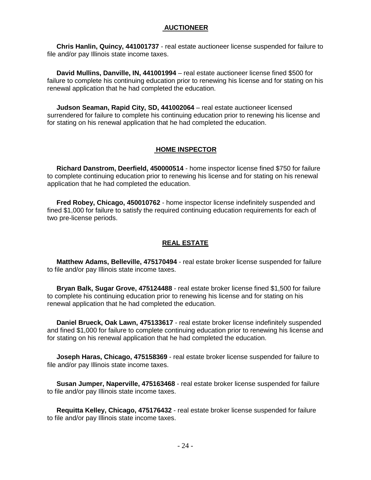#### **AUCTIONEER**

 **Chris Hanlin, Quincy, 441001737** - real estate auctioneer license suspended for failure to file and/or pay Illinois state income taxes.

 **David Mullins, Danville, IN, 441001994** – real estate auctioneer license fined \$500 for failure to complete his continuing education prior to renewing his license and for stating on his renewal application that he had completed the education.

 **Judson Seaman, Rapid City, SD, 441002064** – real estate auctioneer licensed surrendered for failure to complete his continuing education prior to renewing his license and for stating on his renewal application that he had completed the education.

#### **HOME INSPECTOR**

 **Richard Danstrom, Deerfield, 450000514** - home inspector license fined \$750 for failure to complete continuing education prior to renewing his license and for stating on his renewal application that he had completed the education.

 **Fred Robey, Chicago, 450010762** - home inspector license indefinitely suspended and fined \$1,000 for failure to satisfy the required continuing education requirements for each of two pre-license periods.

#### **REAL ESTATE**

 **Matthew Adams, Belleville, 475170494** - real estate broker license suspended for failure to file and/or pay Illinois state income taxes.

 **Bryan Balk, Sugar Grove, 475124488** - real estate broker license fined \$1,500 for failure to complete his continuing education prior to renewing his license and for stating on his renewal application that he had completed the education.

 **Daniel Brueck, Oak Lawn, 475133617** - real estate broker license indefinitely suspended and fined \$1,000 for failure to complete continuing education prior to renewing his license and for stating on his renewal application that he had completed the education.

 **Joseph Haras, Chicago, 475158369** - real estate broker license suspended for failure to file and/or pay Illinois state income taxes.

 **Susan Jumper, Naperville, 475163468** - real estate broker license suspended for failure to file and/or pay Illinois state income taxes.

 **Requitta Kelley, Chicago, 475176432** - real estate broker license suspended for failure to file and/or pay Illinois state income taxes.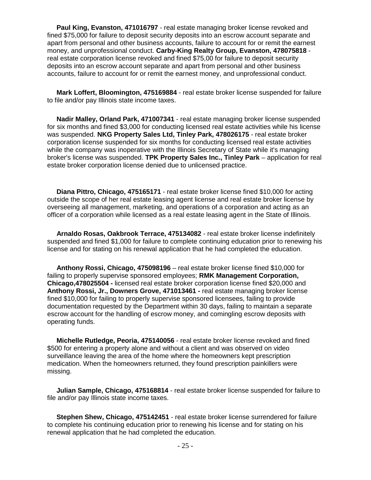**Paul King, Evanston, 471016797** - real estate managing broker license revoked and fined \$75,000 for failure to deposit security deposits into an escrow account separate and apart from personal and other business accounts, failure to account for or remit the earnest money, and unprofessional conduct. **Carby-King Realty Group, Evanston, 478075818**  real estate corporation license revoked and fined \$75,00 for failure to deposit security deposits into an escrow account separate and apart from personal and other business accounts, failure to account for or remit the earnest money, and unprofessional conduct.

 **Mark Loffert, Bloomington, 475169884** - real estate broker license suspended for failure to file and/or pay Illinois state income taxes.

 **Nadir Malley, Orland Park, 471007341** - real estate managing broker license suspended for six months and fined \$3,000 for conducting licensed real estate activities while his license was suspended. **NKG Property Sales Ltd, Tinley Park, 478026175** - real estate broker corporation license suspended for six months for conducting licensed real estate activities while the company was inoperative with the Illinois Secretary of State while it's managing broker's license was suspended. **TPK Property Sales Inc., Tinley Park** – application for real estate broker corporation license denied due to unlicensed practice.

 **Diana Pittro, Chicago, 475165171** - real estate broker license fined \$10,000 for acting outside the scope of her real estate leasing agent license and real estate broker license by overseeing all management, marketing, and operations of a corporation and acting as an officer of a corporation while licensed as a real estate leasing agent in the State of Illinois.

 **Arnaldo Rosas, Oakbrook Terrace, 475134082** - real estate broker license indefinitely suspended and fined \$1,000 for failure to complete continuing education prior to renewing his license and for stating on his renewal application that he had completed the education.

 **Anthony Rossi, Chicago, 475098196** – real estate broker license fined \$10,000 for failing to properly supervise sponsored employees; **RMK Management Corporation, Chicago,478025504 -** licensed real estate broker corporation license fined \$20,000 and **Anthony Rossi, Jr., Downers Grove, 471013461 -** real estate managing broker license fined \$10,000 for failing to properly supervise sponsored licensees, failing to provide documentation requested by the Department within 30 days, failing to maintain a separate escrow account for the handling of escrow money, and comingling escrow deposits with operating funds.

 **Michelle Rutledge, Peoria, 475140056** - real estate broker license revoked and fined \$500 for entering a property alone and without a client and was observed on video surveillance leaving the area of the home where the homeowners kept prescription medication. When the homeowners returned, they found prescription painkillers were missing.

 **Julian Sample, Chicago, 475168814** - real estate broker license suspended for failure to file and/or pay Illinois state income taxes.

 **Stephen Shew, Chicago, 475142451** - real estate broker license surrendered for failure to complete his continuing education prior to renewing his license and for stating on his renewal application that he had completed the education.